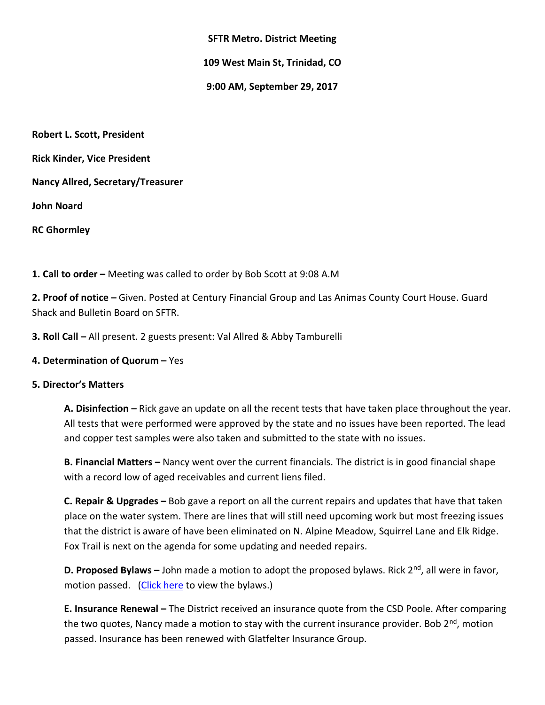### **SFTR Metro. District Meeting**

**109 West Main St, Trinidad, CO**

**9:00 AM, September 29, 2017**

**Robert L. Scott, President Rick Kinder, Vice President Nancy Allred, Secretary/Treasurer John Noard RC Ghormley**

**1. Call to order –** Meeting was called to order by Bob Scott at 9:08 A.M

**2. Proof of notice –** Given. Posted at Century Financial Group and Las Animas County Court House. Guard Shack and Bulletin Board on SFTR.

**3. Roll Call –** All present. 2 guests present: Val Allred & Abby Tamburelli

# **4. Determination of Quorum –** Yes

# **5. Director's Matters**

**A. Disinfection –** Rick gave an update on all the recent tests that have taken place throughout the year. All tests that were performed were approved by the state and no issues have been reported. The lead and copper test samples were also taken and submitted to the state with no issues.

**B. Financial Matters –** Nancy went over the current financials. The district is in good financial shape with a record low of aged receivables and current liens filed.

**C. Repair & Upgrades –** Bob gave a report on all the current repairs and updates that have that taken place on the water system. There are lines that will still need upcoming work but most freezing issues that the district is aware of have been eliminated on N. Alpine Meadow, Squirrel Lane and Elk Ridge. Fox Trail is next on the agenda for some updating and needed repairs.

**D. Proposed Bylaws** – John made a motion to adopt the proposed bylaws. Rick 2<sup>nd</sup>, all were in favor, motion passed. [\(Click here](http://www.santafetrailranch.com/minutes/view.aspx?page=metro_17-09-29_bylaws.pdf) to view the bylaws.)

**E. Insurance Renewal –** The District received an insurance quote from the CSD Poole. After comparing the two quotes, Nancy made a motion to stay with the current insurance provider. Bob  $2^{nd}$ , motion passed. Insurance has been renewed with Glatfelter Insurance Group.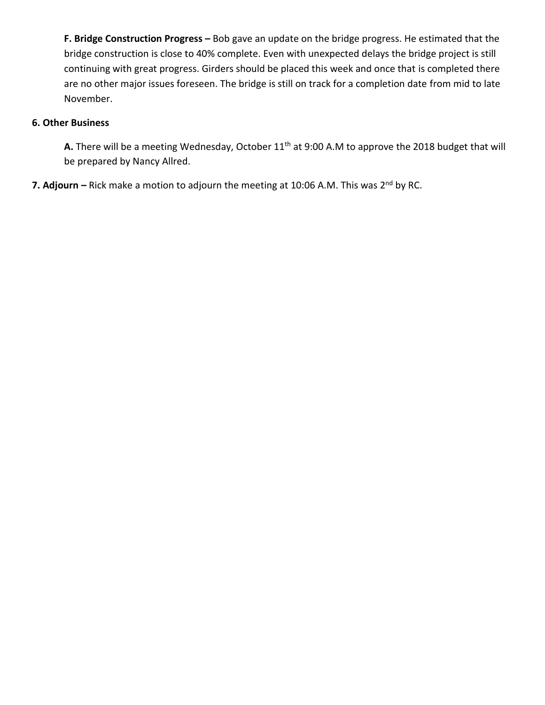**F. Bridge Construction Progress –** Bob gave an update on the bridge progress. He estimated that the bridge construction is close to 40% complete. Even with unexpected delays the bridge project is still continuing with great progress. Girders should be placed this week and once that is completed there are no other major issues foreseen. The bridge is still on track for a completion date from mid to late November.

# **6. Other Business**

A. There will be a meeting Wednesday, October 11<sup>th</sup> at 9:00 A.M to approve the 2018 budget that will be prepared by Nancy Allred.

7. Adjourn – Rick make a motion to adjourn the meeting at 10:06 A.M. This was 2<sup>nd</sup> by RC.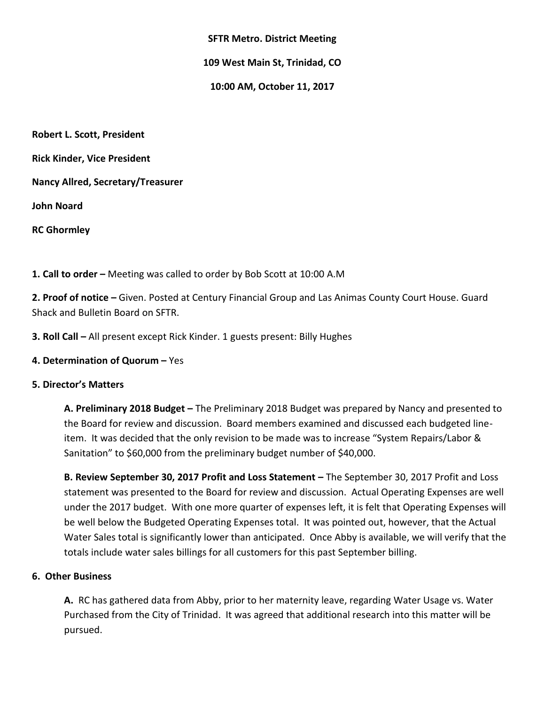#### **SFTR Metro. District Meeting**

**109 West Main St, Trinidad, CO**

**10:00 AM, October 11, 2017**

**Robert L. Scott, President Rick Kinder, Vice President Nancy Allred, Secretary/Treasurer John Noard RC Ghormley**

**1. Call to order –** Meeting was called to order by Bob Scott at 10:00 A.M

**2. Proof of notice –** Given. Posted at Century Financial Group and Las Animas County Court House. Guard Shack and Bulletin Board on SFTR.

**3. Roll Call –** All present except Rick Kinder. 1 guests present: Billy Hughes

# **4. Determination of Quorum –** Yes

# **5. Director's Matters**

**A. Preliminary 2018 Budget –** The Preliminary 2018 Budget was prepared by Nancy and presented to the Board for review and discussion. Board members examined and discussed each budgeted lineitem. It was decided that the only revision to be made was to increase "System Repairs/Labor & Sanitation" to \$60,000 from the preliminary budget number of \$40,000.

**B. Review September 30, 2017 Profit and Loss Statement –** The September 30, 2017 Profit and Loss statement was presented to the Board for review and discussion. Actual Operating Expenses are well under the 2017 budget. With one more quarter of expenses left, it is felt that Operating Expenses will be well below the Budgeted Operating Expenses total. It was pointed out, however, that the Actual Water Sales total is significantly lower than anticipated. Once Abby is available, we will verify that the totals include water sales billings for all customers for this past September billing.

#### **6. Other Business**

**A.** RC has gathered data from Abby, prior to her maternity leave, regarding Water Usage vs. Water Purchased from the City of Trinidad. It was agreed that additional research into this matter will be pursued.